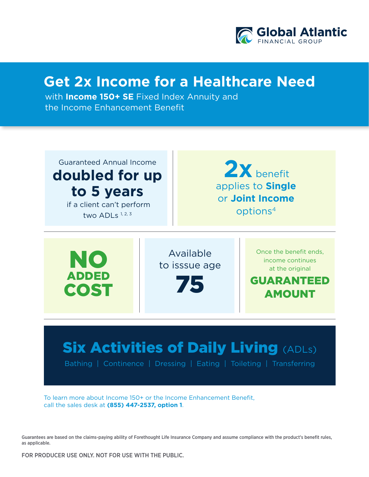

## **Get 2x Income for a Healthcare Need**

with **Income 150+ SE** Fixed Index Annuity and the Income Enhancement Benefit

Guaranteed Annual Income **doubled for up to 5 years** if a client can't perform

two ADLs  $1, 2, 3$ 

applies to **Single** or **Joint Income**  options4 **2x** benefit

GUARANTEED AMOUNT NO ADDED COST Available to isssue age 75 Once the benefit ends, income continues at the original

## **Six Activities of Daily Living (ADLs)**

Bathing | Continence | Dressing | Eating | Toileting | Transferring

To learn more about Income 150+ or the Income Enhancement Benefit, call the sales desk at **(855) 447-2537, option 1**.

Guarantees are based on the claims-paying ability of Forethought Life Insurance Company and assume compliance with the product's benefit rules, as applicable.

FOR PRODUCER USE ONLY. NOT FOR USE WITH THE PUBLIC.